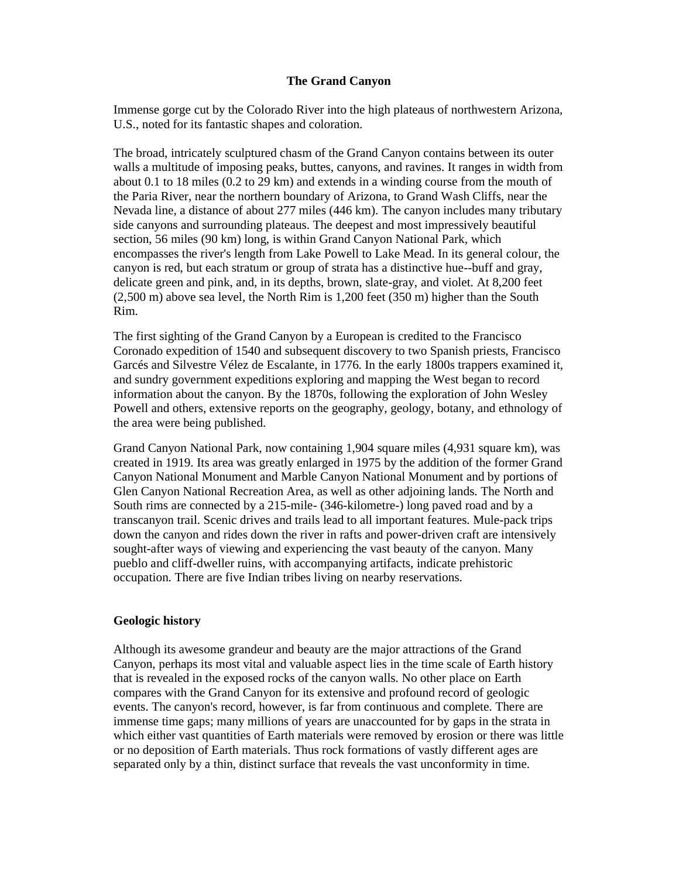## **The Grand Canyon**

Immense gorge cut by the Colorado River into the high plateaus of northwestern Arizona, U.S., noted for its fantastic shapes and coloration.

The broad, intricately sculptured chasm of the Grand Canyon contains between its outer walls a multitude of imposing peaks, buttes, canyons, and ravines. It ranges in width from about 0.1 to 18 miles (0.2 to 29 km) and extends in a winding course from the mouth of the Paria River, near the northern boundary of Arizona, to Grand Wash Cliffs, near the Nevada line, a distance of about 277 miles (446 km). The canyon includes many tributary side canyons and surrounding plateaus. The deepest and most impressively beautiful section, 56 miles (90 km) long, is within Grand Canyon National Park, which encompasses the river's length from Lake Powell to Lake Mead. In its general colour, the canyon is red, but each stratum or group of strata has a distinctive hue--buff and gray, delicate green and pink, and, in its depths, brown, slate-gray, and violet. At 8,200 feet (2,500 m) above sea level, the North Rim is 1,200 feet (350 m) higher than the South Rim.

The first sighting of the Grand Canyon by a European is credited to the Francisco Coronado expedition of 1540 and subsequent discovery to two Spanish priests, Francisco Garcés and Silvestre Vélez de Escalante, in 1776. In the early 1800s trappers examined it, and sundry government expeditions exploring and mapping the West began to record information about the canyon. By the 1870s, following the exploration of John Wesley Powell and others, extensive reports on the geography, geology, botany, and ethnology of the area were being published.

Grand Canyon National Park, now containing 1,904 square miles (4,931 square km), was created in 1919. Its area was greatly enlarged in 1975 by the addition of the former Grand Canyon National Monument and Marble Canyon National Monument and by portions of Glen Canyon National Recreation Area, as well as other adjoining lands. The North and South rims are connected by a 215-mile- (346-kilometre-) long paved road and by a transcanyon trail. Scenic drives and trails lead to all important features. Mule-pack trips down the canyon and rides down the river in rafts and power-driven craft are intensively sought-after ways of viewing and experiencing the vast beauty of the canyon. Many pueblo and cliff-dweller ruins, with accompanying artifacts, indicate prehistoric occupation. There are five Indian tribes living on nearby reservations.

## **Geologic history**

Although its awesome grandeur and beauty are the major attractions of the Grand Canyon, perhaps its most vital and valuable aspect lies in the time scale of Earth history that is revealed in the exposed rocks of the canyon walls. No other place on Earth compares with the Grand Canyon for its extensive and profound record of geologic events. The canyon's record, however, is far from continuous and complete. There are immense time gaps; many millions of years are unaccounted for by gaps in the strata in which either vast quantities of Earth materials were removed by erosion or there was little or no deposition of Earth materials. Thus rock formations of vastly different ages are separated only by a thin, distinct surface that reveals the vast unconformity in time.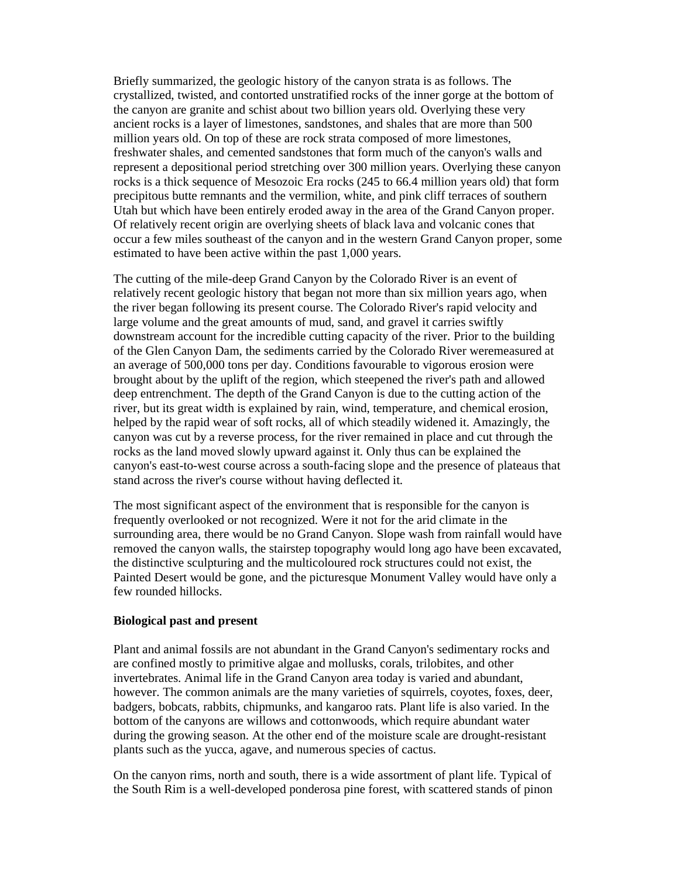Briefly summarized, the geologic history of the canyon strata is as follows. The crystallized, twisted, and contorted unstratified rocks of the inner gorge at the bottom of the canyon are granite and schist about two billion years old. Overlying these very ancient rocks is a layer of limestones, sandstones, and shales that are more than 500 million years old. On top of these are rock strata composed of more limestones, freshwater shales, and cemented sandstones that form much of the canyon's walls and represent a depositional period stretching over 300 million years. Overlying these canyon rocks is a thick sequence of Mesozoic Era rocks (245 to 66.4 million years old) that form precipitous butte remnants and the vermilion, white, and pink cliff terraces of southern Utah but which have been entirely eroded away in the area of the Grand Canyon proper. Of relatively recent origin are overlying sheets of black lava and volcanic cones that occur a few miles southeast of the canyon and in the western Grand Canyon proper, some estimated to have been active within the past 1,000 years.

The cutting of the mile-deep Grand Canyon by the Colorado River is an event of relatively recent geologic history that began not more than six million years ago, when the river began following its present course. The Colorado River's rapid velocity and large volume and the great amounts of mud, sand, and gravel it carries swiftly downstream account for the incredible cutting capacity of the river. Prior to the building of the Glen Canyon Dam, the sediments carried by the Colorado River weremeasured at an average of 500,000 tons per day. Conditions favourable to vigorous erosion were brought about by the uplift of the region, which steepened the river's path and allowed deep entrenchment. The depth of the Grand Canyon is due to the cutting action of the river, but its great width is explained by rain, wind, temperature, and chemical erosion, helped by the rapid wear of soft rocks, all of which steadily widened it. Amazingly, the canyon was cut by a reverse process, for the river remained in place and cut through the rocks as the land moved slowly upward against it. Only thus can be explained the canyon's east-to-west course across a south-facing slope and the presence of plateaus that stand across the river's course without having deflected it.

The most significant aspect of the environment that is responsible for the canyon is frequently overlooked or not recognized. Were it not for the arid climate in the surrounding area, there would be no Grand Canyon. Slope wash from rainfall would have removed the canyon walls, the stairstep topography would long ago have been excavated, the distinctive sculpturing and the multicoloured rock structures could not exist, the Painted Desert would be gone, and the picturesque Monument Valley would have only a few rounded hillocks.

## **Biological past and present**

Plant and animal fossils are not abundant in the Grand Canyon's sedimentary rocks and are confined mostly to primitive algae and mollusks, corals, trilobites, and other invertebrates. Animal life in the Grand Canyon area today is varied and abundant, however. The common animals are the many varieties of squirrels, coyotes, foxes, deer, badgers, bobcats, rabbits, chipmunks, and kangaroo rats. Plant life is also varied. In the bottom of the canyons are willows and cottonwoods, which require abundant water during the growing season. At the other end of the moisture scale are drought-resistant plants such as the yucca, agave, and numerous species of cactus.

On the canyon rims, north and south, there is a wide assortment of plant life. Typical of the South Rim is a well-developed ponderosa pine forest, with scattered stands of pinon